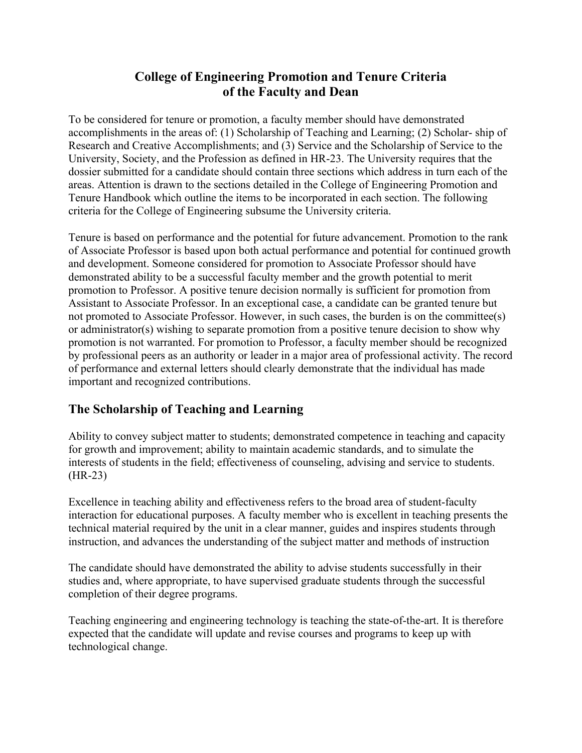## **College of Engineering Promotion and Tenure Criteria of the Faculty and Dean**

To be considered for tenure or promotion, a faculty member should have demonstrated accomplishments in the areas of: (1) Scholarship of Teaching and Learning; (2) Scholar- ship of Research and Creative Accomplishments; and (3) Service and the Scholarship of Service to the University, Society, and the Profession as defined in HR-23. The University requires that the dossier submitted for a candidate should contain three sections which address in turn each of the areas. Attention is drawn to the sections detailed in the College of Engineering Promotion and Tenure Handbook which outline the items to be incorporated in each section. The following criteria for the College of Engineering subsume the University criteria.

Tenure is based on performance and the potential for future advancement. Promotion to the rank of Associate Professor is based upon both actual performance and potential for continued growth and development. Someone considered for promotion to Associate Professor should have demonstrated ability to be a successful faculty member and the growth potential to merit promotion to Professor. A positive tenure decision normally is sufficient for promotion from Assistant to Associate Professor. In an exceptional case, a candidate can be granted tenure but not promoted to Associate Professor. However, in such cases, the burden is on the committee(s) or administrator(s) wishing to separate promotion from a positive tenure decision to show why promotion is not warranted. For promotion to Professor, a faculty member should be recognized by professional peers as an authority or leader in a major area of professional activity. The record of performance and external letters should clearly demonstrate that the individual has made important and recognized contributions.

## **The Scholarship of Teaching and Learning**

Ability to convey subject matter to students; demonstrated competence in teaching and capacity for growth and improvement; ability to maintain academic standards, and to simulate the interests of students in the field; effectiveness of counseling, advising and service to students. (HR-23)

Excellence in teaching ability and effectiveness refers to the broad area of student-faculty interaction for educational purposes. A faculty member who is excellent in teaching presents the technical material required by the unit in a clear manner, guides and inspires students through instruction, and advances the understanding of the subject matter and methods of instruction

The candidate should have demonstrated the ability to advise students successfully in their studies and, where appropriate, to have supervised graduate students through the successful completion of their degree programs.

Teaching engineering and engineering technology is teaching the state-of-the-art. It is therefore expected that the candidate will update and revise courses and programs to keep up with technological change.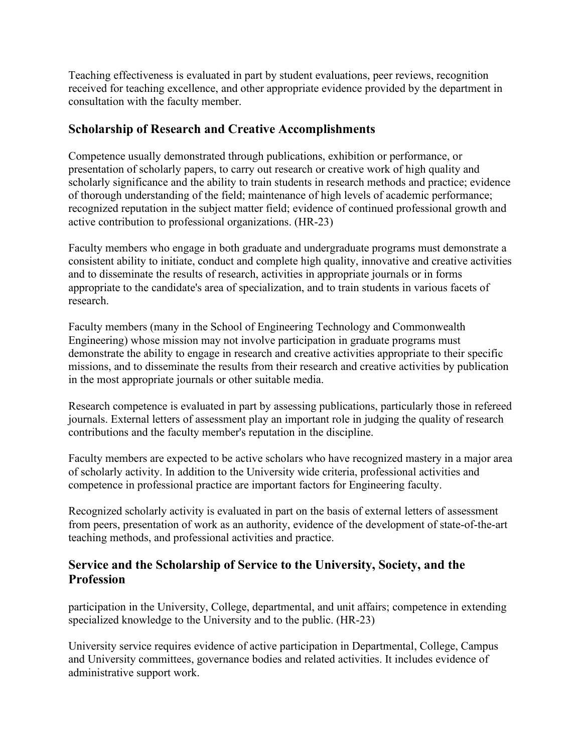Teaching effectiveness is evaluated in part by student evaluations, peer reviews, recognition received for teaching excellence, and other appropriate evidence provided by the department in consultation with the faculty member.

## **Scholarship of Research and Creative Accomplishments**

Competence usually demonstrated through publications, exhibition or performance, or presentation of scholarly papers, to carry out research or creative work of high quality and scholarly significance and the ability to train students in research methods and practice; evidence of thorough understanding of the field; maintenance of high levels of academic performance; recognized reputation in the subject matter field; evidence of continued professional growth and active contribution to professional organizations. (HR-23)

Faculty members who engage in both graduate and undergraduate programs must demonstrate a consistent ability to initiate, conduct and complete high quality, innovative and creative activities and to disseminate the results of research, activities in appropriate journals or in forms appropriate to the candidate's area of specialization, and to train students in various facets of research.

Faculty members (many in the School of Engineering Technology and Commonwealth Engineering) whose mission may not involve participation in graduate programs must demonstrate the ability to engage in research and creative activities appropriate to their specific missions, and to disseminate the results from their research and creative activities by publication in the most appropriate journals or other suitable media.

Research competence is evaluated in part by assessing publications, particularly those in refereed journals. External letters of assessment play an important role in judging the quality of research contributions and the faculty member's reputation in the discipline.

Faculty members are expected to be active scholars who have recognized mastery in a major area of scholarly activity. In addition to the University wide criteria, professional activities and competence in professional practice are important factors for Engineering faculty.

Recognized scholarly activity is evaluated in part on the basis of external letters of assessment from peers, presentation of work as an authority, evidence of the development of state-of-the-art teaching methods, and professional activities and practice.

## **Service and the Scholarship of Service to the University, Society, and the Profession**

participation in the University, College, departmental, and unit affairs; competence in extending specialized knowledge to the University and to the public. (HR-23)

University service requires evidence of active participation in Departmental, College, Campus and University committees, governance bodies and related activities. It includes evidence of administrative support work.